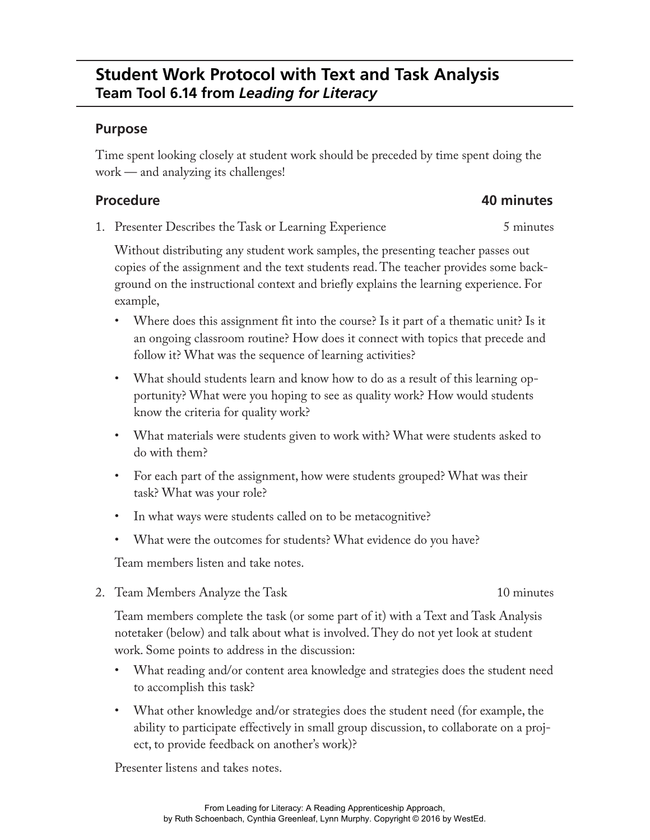### **Purpose**

Time spent looking closely at student work should be preceded by time spent doing the work — and analyzing its challenges!

## **Procedure 40 minutes**

1. Presenter Describes the Task or Learning Experience 5 minutes

Without distributing any student work samples, the presenting teacher passes out copies of the assignment and the text students read. The teacher provides some background on the instructional context and briefly explains the learning experience. For example,

- Where does this assignment fit into the course? Is it part of a thematic unit? Is it an ongoing classroom routine? How does it connect with topics that precede and follow it? What was the sequence of learning activities?
- What should students learn and know how to do as a result of this learning opportunity? What were you hoping to see as quality work? How would students know the criteria for quality work?
- What materials were students given to work with? What were students asked to do with them?
- For each part of the assignment, how were students grouped? What was their task? What was your role?
- In what ways were students called on to be metacognitive?
- What were the outcomes for students? What evidence do you have?

Team members listen and take notes.

2. Team Members Analyze the Task 10 minutes

Team members complete the task (or some part of it) with a Text and Task Analysis notetaker (below) and talk about what is involved. They do not yet look at student work. Some points to address in the discussion:

- What reading and/or content area knowledge and strategies does the student need to accomplish this task?
- What other knowledge and/or strategies does the student need (for example, the ability to participate effectively in small group discussion, to collaborate on a project, to provide feedback on another's work)?

Presenter listens and takes notes.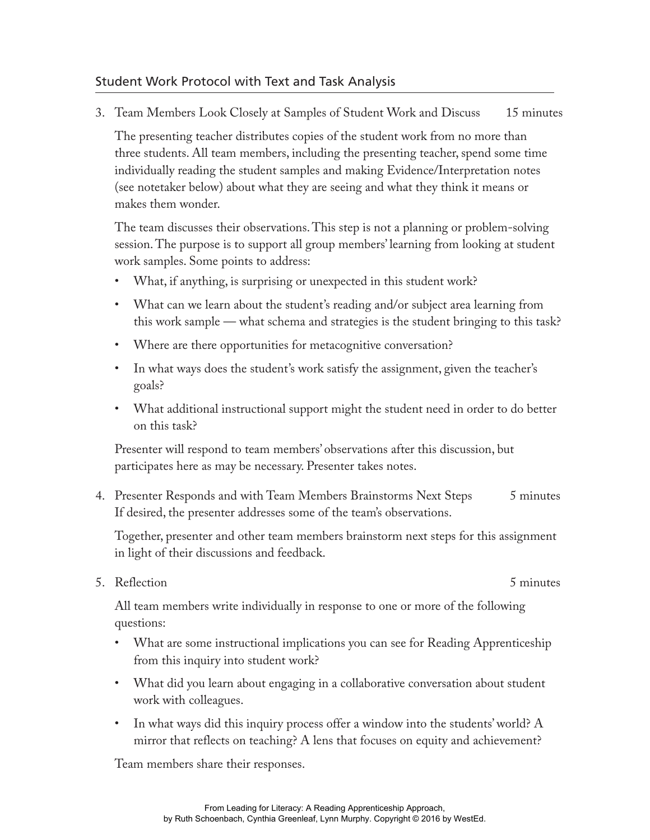### Student Work Protocol with Text and Task Analysis

3. Team Members Look Closely at Samples of Student Work and Discuss 15 minutes

The presenting teacher distributes copies of the student work from no more than three students. All team members, including the presenting teacher, spend some time individually reading the student samples and making Evidence/Interpretation notes (see notetaker below) about what they are seeing and what they think it means or makes them wonder.

The team discusses their observations. This step is not a planning or problem-solving session. The purpose is to support all group members' learning from looking at student work samples. Some points to address:

- What, if anything, is surprising or unexpected in this student work?
- What can we learn about the student's reading and/or subject area learning from this work sample — what schema and strategies is the student bringing to this task?
- Where are there opportunities for metacognitive conversation?
- In what ways does the student's work satisfy the assignment, given the teacher's goals?
- What additional instructional support might the student need in order to do better on this task?

Presenter will respond to team members' observations after this discussion, but participates here as may be necessary. Presenter takes notes.

4. Presenter Responds and with Team Members Brainstorms Next Steps 5 minutes If desired, the presenter addresses some of the team's observations.

Together, presenter and other team members brainstorm next steps for this assignment in light of their discussions and feedback.

5. Reflection 5 minutes

All team members write individually in response to one or more of the following questions:

- What are some instructional implications you can see for Reading Apprenticeship from this inquiry into student work?
- What did you learn about engaging in a collaborative conversation about student work with colleagues.
- In what ways did this inquiry process offer a window into the students' world? A mirror that reflects on teaching? A lens that focuses on equity and achievement?

Team members share their responses.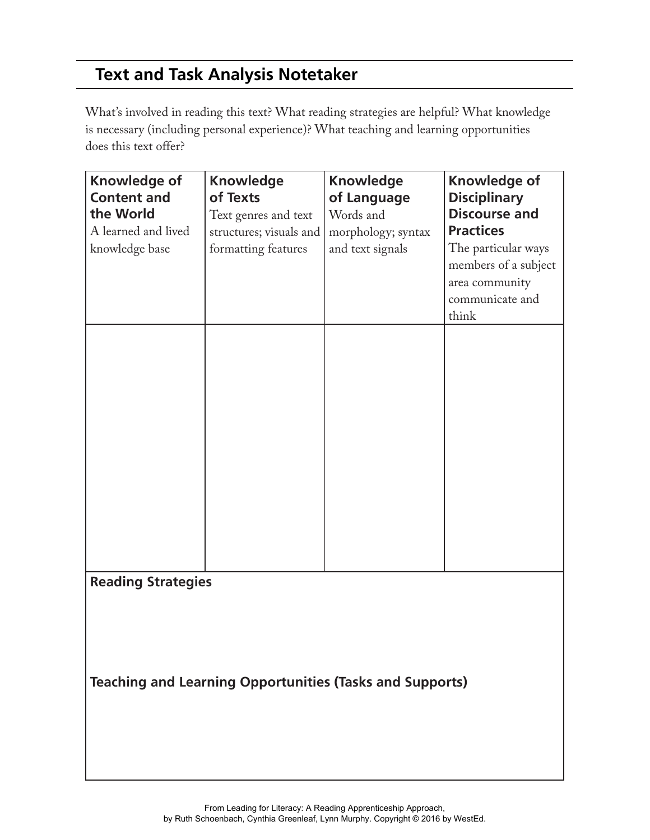# **Text and Task Analysis Notetaker**

What's involved in reading this text? What reading strategies are helpful? What knowledge is necessary (including personal experience)? What teaching and learning opportunities does this text offer?

| Knowledge of<br><b>Content and</b><br>the World<br>A learned and lived<br>knowledge base     | <b>Knowledge</b><br>of Texts<br>Text genres and text<br>structures; visuals and<br>formatting features | <b>Knowledge</b><br>of Language<br>Words and<br>morphology; syntax<br>and text signals | Knowledge of<br><b>Disciplinary</b><br><b>Discourse and</b><br><b>Practices</b><br>The particular ways<br>members of a subject<br>area community<br>communicate and<br>think |  |
|----------------------------------------------------------------------------------------------|--------------------------------------------------------------------------------------------------------|----------------------------------------------------------------------------------------|------------------------------------------------------------------------------------------------------------------------------------------------------------------------------|--|
|                                                                                              |                                                                                                        |                                                                                        |                                                                                                                                                                              |  |
| <b>Reading Strategies</b><br><b>Teaching and Learning Opportunities (Tasks and Supports)</b> |                                                                                                        |                                                                                        |                                                                                                                                                                              |  |